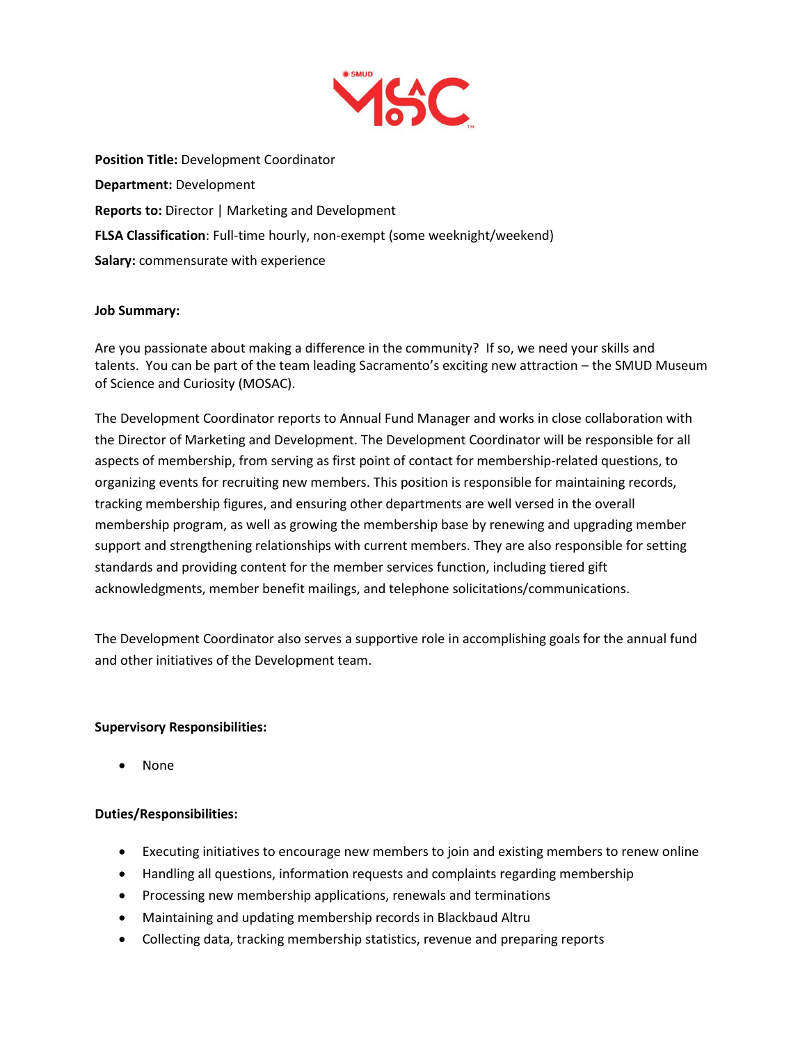

**Position Title:** Development Coordinator **Department:** Development **Reports to:** Director | Marketing and Development **FLSA Classification**: Full-time hourly, non-exempt (some weeknight/weekend) **Salary:** commensurate with experience

### **Job Summary:**

Are you passionate about making a difference in the community? If so, we need your skills and talents. You can be part of the team leading Sacramento's exciting new attraction – the SMUD Museum of Science and Curiosity (MOSAC).

The Development Coordinator reports to Annual Fund Manager and works in close collaboration with the Director of Marketing and Development. The Development Coordinator will be responsible for all aspects of membership, from serving as first point of contact for membership-related questions, to organizing events for recruiting new members. This position is responsible for maintaining records, tracking membership figures, and ensuring other departments are well versed in the overall membership program, as well as growing the membership base by renewing and upgrading member support and strengthening relationships with current members. They are also responsible for setting standards and providing content for the member services function, including tiered gift acknowledgments, member benefit mailings, and telephone solicitations/communications.

The Development Coordinator also serves a supportive role in accomplishing goals for the annual fund and other initiatives of the Development team.

### **Supervisory Responsibilities:**

• None

### **Duties/Responsibilities:**

- Executing initiatives to encourage new members to join and existing members to renew online
- Handling all questions, information requests and complaints regarding membership
- Processing new membership applications, renewals and terminations
- Maintaining and updating membership records in Blackbaud Altru
- Collecting data, tracking membership statistics, revenue and preparing reports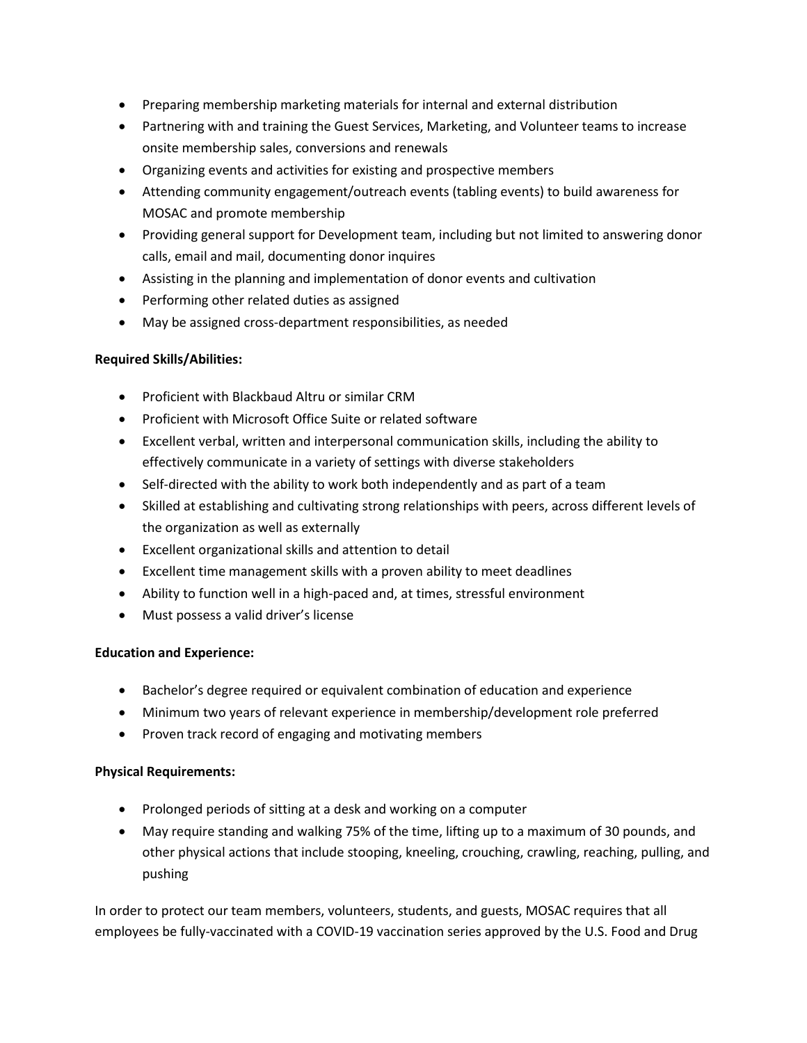- Preparing membership marketing materials for internal and external distribution
- Partnering with and training the Guest Services, Marketing, and Volunteer teams to increase onsite membership sales, conversions and renewals
- Organizing events and activities for existing and prospective members
- Attending community engagement/outreach events (tabling events) to build awareness for MOSAC and promote membership
- Providing general support for Development team, including but not limited to answering donor calls, email and mail, documenting donor inquires
- Assisting in the planning and implementation of donor events and cultivation
- Performing other related duties as assigned
- May be assigned cross-department responsibilities, as needed

## **Required Skills/Abilities:**

- Proficient with Blackbaud Altru or similar CRM
- Proficient with Microsoft Office Suite or related software
- Excellent verbal, written and interpersonal communication skills, including the ability to effectively communicate in a variety of settings with diverse stakeholders
- Self-directed with the ability to work both independently and as part of a team
- Skilled at establishing and cultivating strong relationships with peers, across different levels of the organization as well as externally
- Excellent organizational skills and attention to detail
- Excellent time management skills with a proven ability to meet deadlines
- Ability to function well in a high-paced and, at times, stressful environment
- Must possess a valid driver's license

# **Education and Experience:**

- Bachelor's degree required or equivalent combination of education and experience
- Minimum two years of relevant experience in membership/development role preferred
- Proven track record of engaging and motivating members

### **Physical Requirements:**

- Prolonged periods of sitting at a desk and working on a computer
- May require standing and walking 75% of the time, lifting up to a maximum of 30 pounds, and other physical actions that include stooping, kneeling, crouching, crawling, reaching, pulling, and pushing

In order to protect our team members, volunteers, students, and guests, MOSAC requires that all employees be fully-vaccinated with a COVID-19 vaccination series approved by the U.S. Food and Drug